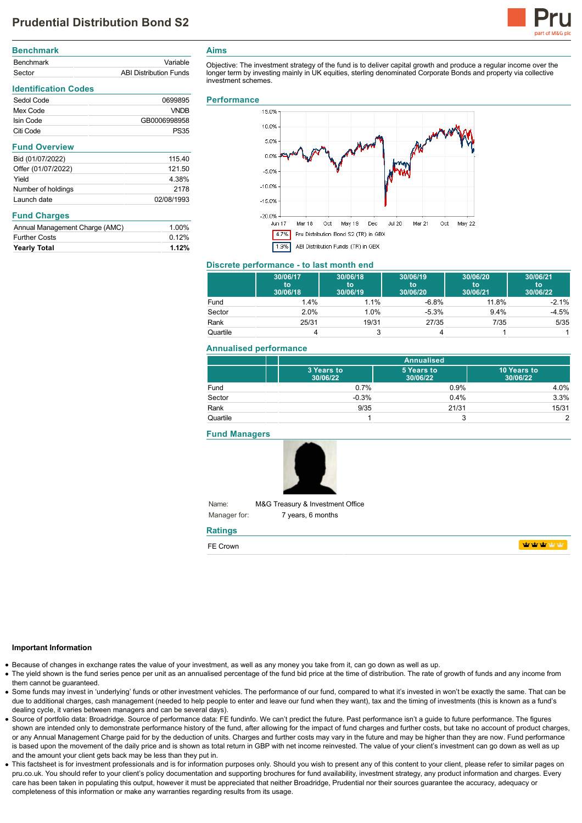# **Prudential Distribution Bond S2**



| Variable                      |
|-------------------------------|
| <b>ABI Distribution Funds</b> |
|                               |

## **Identification Codes** Sedol Code 0699895 Mex Code VNDB **Isin Code** GB0006998958 Citi Code **PS35 Fund Overview** Bid (01/07/2022) 115.40 Offer (01/07/2022) 121.50 Yield 4.38% Number of holdings 2178 Launch date 02/08/1993 **Fund Charges** Annual Management Charge (AMC) 1.00%

Further Costs 0.12% **Yearly Total 1.12%**

#### **Aims**

Objective: The investment strategy of the fund is to deliver capital growth and produce a regular income over the longer term by investing mainly in UK equities, sterling denominated Corporate Bonds and property via collective investment schemes.

#### **Performance**



#### **Discrete performance - to last month end**

|          | 30/06/17<br>to<br>30/06/18 | 30/06/18<br>to<br>30/06/19 | 30/06/19<br>to<br>30/06/20 | 30/06/20<br>to<br>30/06/21 | 30/06/21<br>to<br>30/06/22 |
|----------|----------------------------|----------------------------|----------------------------|----------------------------|----------------------------|
| Fund     | 1.4%                       | 1.1%                       | $-6.8%$                    | 11.8%                      | $-2.1%$                    |
| Sector   | 2.0%                       | 1.0%                       | $-5.3%$                    | $9.4\%$                    | $-4.5%$                    |
| Rank     | 25/31                      | 19/31                      | 27/35                      | 7/35                       | 5/35                       |
| Quartile |                            |                            |                            |                            |                            |

#### **Annualised performance**

|          |                        | <b>Annualised</b>      |                         |  |
|----------|------------------------|------------------------|-------------------------|--|
|          | 3 Years to<br>30/06/22 | 5 Years to<br>30/06/22 | 10 Years to<br>30/06/22 |  |
| Fund     | 0.7%                   | 0.9%                   | 4.0%                    |  |
| Sector   | $-0.3%$                | 0.4%                   | 3.3%                    |  |
| Rank     | 9/35                   | 21/31                  | 15/31                   |  |
| Quartile |                        | 3                      | っ                       |  |

**Fund Managers**



Name: Manager for: M&G Treasury & Investment Office 7 years, 6 months

## **Ratings**

| $- -$<br>וואיר |  |
|----------------|--|
|                |  |

#### **Important Information**

- Because of changes in exchange rates the value of your investment, as well as any money you take from it, can go down as well as up.
- The yield shown is the fund series pence per unit as an annualised percentage of the fund bid price at the time of distribution. The rate of growth of funds and any income from them cannot be guaranteed.
- Some funds may invest in 'underlying' funds or other investment vehicles. The performance of our fund, compared to what it's invested in won't be exactly the same. That can be due to additional charges, cash management (needed to help people to enter and leave our fund when they want), tax and the timing of investments (this is known as a fund's dealing cycle, it varies between managers and can be several days).
- Source of portfolio data: Broadridge. Source of performance data: FE fundinfo. We can't predict the future. Past performance isn't a guide to future performance. The figures shown are intended only to demonstrate performance history of the fund, after allowing for the impact of fund charges and further costs, but take no account of product charges, or any Annual Management Charge paid for by the deduction of units. Charges and further costs may vary in the future and may be higher than they are now. Fund performance is based upon the movement of the daily price and is shown as total return in GBP with net income reinvested. The value of your client's investment can go down as well as up and the amount your client gets back may be less than they put in.
- This factsheet is for investment professionals and is for information purposes only. Should you wish to present any of this content to your client, please refer to similar pages on pru.co.uk. You should refer to your client's policy documentation and supporting brochures for fund availability, investment strategy, any product information and charges. Every care has been taken in populating this output, however it must be appreciated that neither Broadridge. Prudential nor their sources guarantee the accuracy, adequacy or completeness of this information or make any warranties regarding results from its usage.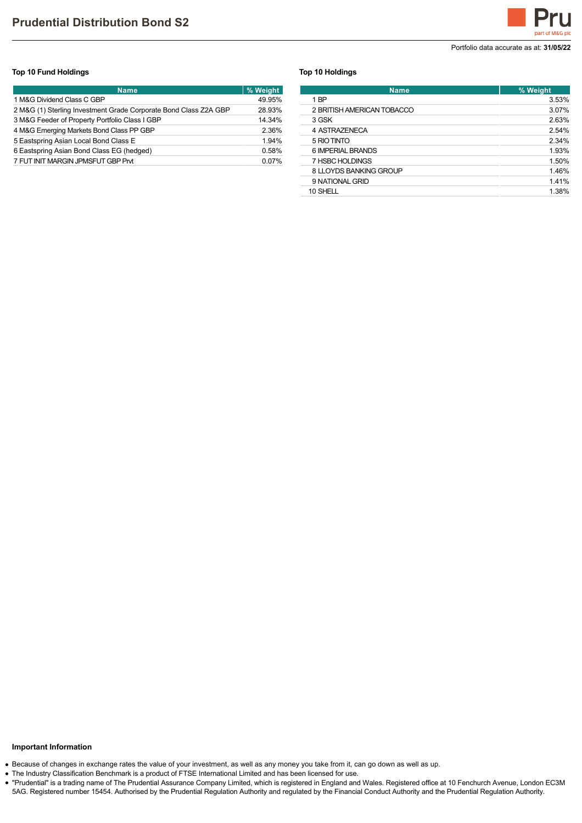

Portfolio data accurate as at: **31/05/22**

#### **Top 10 Fund Holdings**

| <b>Name</b>                                                      | % Weight |
|------------------------------------------------------------------|----------|
| 1 M&G Dividend Class C GBP                                       | 49.95%   |
| 2 M&G (1) Sterling Investment Grade Corporate Bond Class Z2A GBP | 28.93%   |
| 3 M&G Feeder of Property Portfolio Class I GBP                   | 14.34%   |
| 4 M&G Emerging Markets Bond Class PP GBP                         | 2.36%    |
| 5 Eastspring Asian Local Bond Class E                            | 1.94%    |
| 6 Eastspring Asian Bond Class EG (hedged)                        | 0.58%    |
| 7 FUT INIT MARGIN JPMSFUT GBP Prvt                               | 0.07%    |

#### **Top 10 Holdings**

| <b>Name</b>                | % Weight |
|----------------------------|----------|
| 1 BP                       | 3.53%    |
| 2 BRITISH AMERICAN TOBACCO | 3.07%    |
| 3 GSK                      | 2.63%    |
| 4 ASTRAZENECA              | 2.54%    |
| 5 RIO TINTO                | 2.34%    |
| 6 IMPERIAL BRANDS          | 1.93%    |
| 7 HSBC HOLDINGS            | 1.50%    |
| 8 LLOYDS BANKING GROUP     | 1.46%    |
| 9 NATIONAL GRID            | 1.41%    |
| 10 SHELL                   | 1.38%    |

## **Important Information**

Because of changes in exchange rates the value of your investment, as well as any money you take from it, can go down as well as up.

The Industry Classification Benchmark is a product of FTSE International Limited and has been licensed for use.

"Prudential" is a trading name of The Prudential Assurance Company Limited, which is registered in England and Wales. Registered office at 10 Fenchurch Avenue, London EC3M 5AG. Registered number 15454. Authorised by the Prudential Regulation Authority and regulated by the Financial Conduct Authority and the Prudential Regulation Authority.